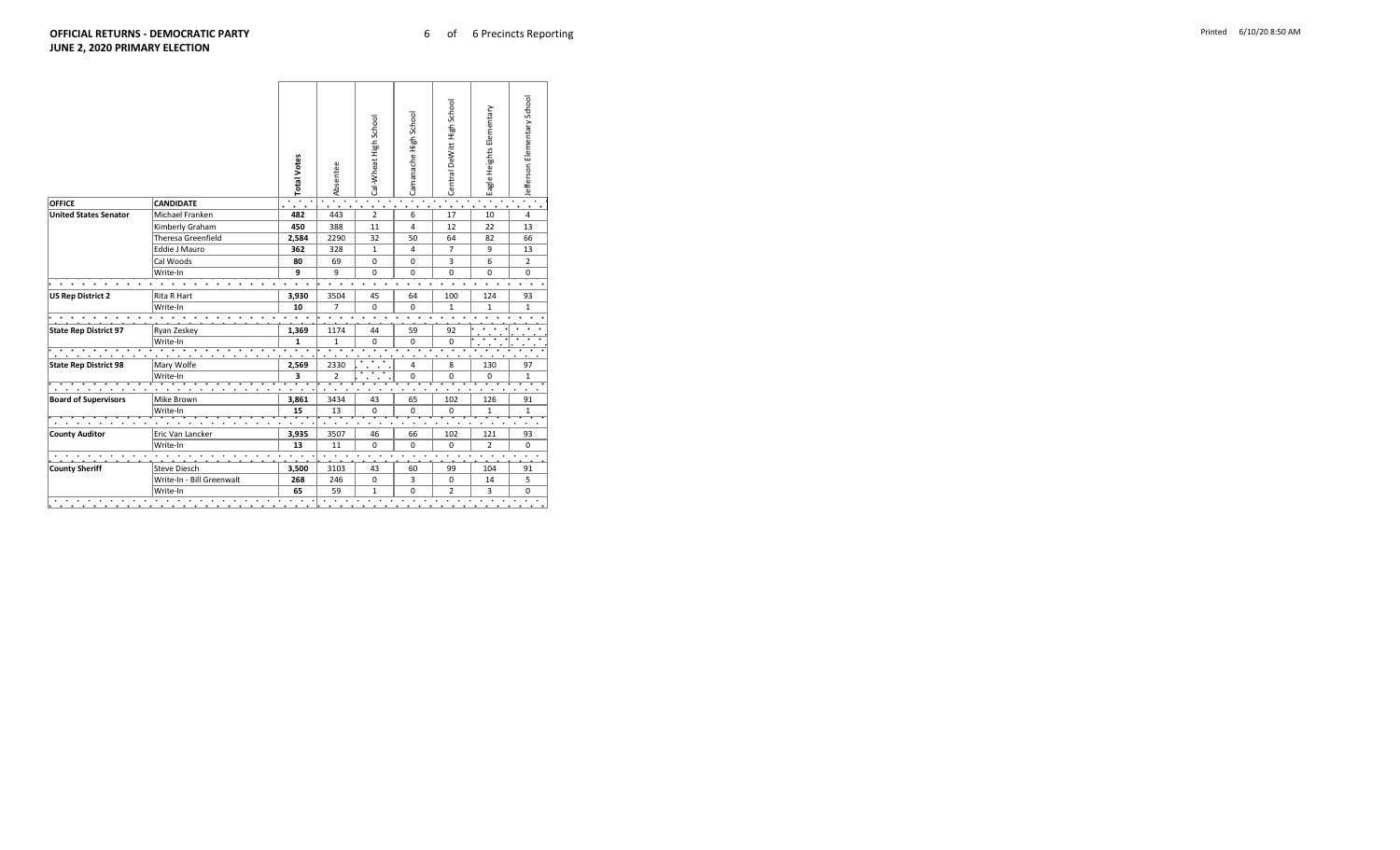|                              |                           | <b>Total Votes</b> | Absentee       | Cal-Wheat High School | Camanache High School | Central DeWitt High School | Eagle Heights Elementary | Jefferson Elementary School |
|------------------------------|---------------------------|--------------------|----------------|-----------------------|-----------------------|----------------------------|--------------------------|-----------------------------|
| <b>OFFICE</b>                | <b>CANDIDATE</b>          |                    |                |                       |                       |                            |                          |                             |
| <b>United States Senator</b> | Michael Franken           | 482                | 443            | $\overline{2}$        | 6                     | 17                         | 10                       | $\overline{4}$              |
|                              | Kimberly Graham           | 450                | 388            | 11                    | 4                     | 12                         | 22                       | 13                          |
|                              | Theresa Greenfield        | 2,584              | 2290           | 32                    | 50                    | 64                         | 82                       | 66                          |
|                              | Eddie J Mauro             | 362                | 328            | $\mathbf{1}$          | 4                     | $\overline{7}$             | 9                        | 13                          |
|                              | Cal Woods                 | 80                 | 69             | 0                     | 0                     | 3                          | 6                        | $\overline{2}$              |
|                              | Write-In                  | 9                  | 9              | 0                     | 0                     | 0                          | 0                        | $\Omega$                    |
|                              |                           |                    |                |                       |                       |                            |                          |                             |
| <b>US Rep District 2</b>     | Rita R Hart               | 3,930              | 3504           | 45                    | 64                    | 100                        | 124                      | 93                          |
|                              | Write-In                  | 10                 | $\overline{7}$ | 0                     | 0                     | $\mathbf{1}$               | $\mathbf{1}$             | 1                           |
|                              |                           |                    |                |                       |                       |                            |                          |                             |
| <b>State Rep District 97</b> | Ryan Zeskey               | 1,369              | 1174           | 44                    | 59                    | 92                         |                          |                             |
|                              | Write-In                  | $\mathbf{1}$       | $\mathbf{1}$   | $\mathbf 0$           | 0                     | 0                          |                          |                             |
|                              |                           |                    |                |                       |                       |                            |                          |                             |
| <b>State Rep District 98</b> | Mary Wolfe                | 2,569              | 2330           |                       | 4                     | 8                          | 130                      | 97                          |
|                              | Write-In                  | 3                  | $\overline{2}$ |                       | 0                     | 0                          | 0                        | $\mathbf{1}$                |
|                              |                           |                    |                |                       |                       |                            |                          |                             |
| <b>Board of Supervisors</b>  | Mike Brown                | 3,861              | 3434           | 43                    | 65                    | 102                        | 126                      | 91                          |
|                              | Write-In                  | 15                 | 13             | $\Omega$              | $\Omega$              | 0                          | $\mathbf{1}$             | $\mathbf{1}$                |
|                              |                           |                    |                |                       |                       |                            |                          |                             |
| <b>County Auditor</b>        | Eric Van Lancker          | 3,935              | 3507           | 46                    | 66                    | 102                        | 121                      | 93                          |
|                              | Write-In                  | 13                 | 11             | $\Omega$              | $\Omega$              | $\Omega$                   | $\overline{2}$           | $\mathbf 0$                 |
|                              |                           |                    |                |                       |                       |                            |                          |                             |
| <b>County Sheriff</b>        | Steve Diesch              | 3,500              | 3103           | 43                    | 60                    | 99                         | 104                      | 91                          |
|                              |                           | 268                | 246            | 0                     | 3                     | 0                          | 14                       | 5                           |
|                              | Write-In - Bill Greenwalt |                    |                |                       |                       |                            |                          |                             |